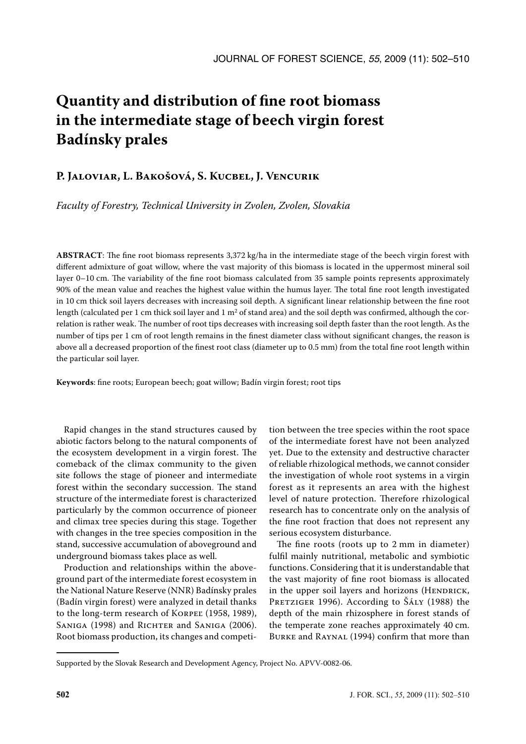# **Quantity and distribution of fine root biomass in the intermediate stage of beech virgin forest Badínsky prales**

## **P. Jaloviar, L. Bakošová, S. Kucbel, J. Vencurik**

*Faculty of Forestry, Technical University in Zvolen, Zvolen, Slovakia*

**ABSTRACT**: The fine root biomass represents 3,372 kg/ha in the intermediate stage of the beech virgin forest with different admixture of goat willow, where the vast majority of this biomass is located in the uppermost mineral soil layer 0–10 cm. The variability of the fine root biomass calculated from 35 sample points represents approximately 90% of the mean value and reaches the highest value within the humus layer. The total fine root length investigated in 10 cm thick soil layers decreases with increasing soil depth. A significant linear relationship between the fine root length (calculated per 1 cm thick soil layer and 1 m<sup>2</sup> of stand area) and the soil depth was confirmed, although the correlation is rather weak. The number of root tips decreases with increasing soil depth faster than the root length. As the number of tips per 1 cm of root length remains in the finest diameter class without significant changes, the reason is above all a decreased proportion of the finest root class (diameter up to 0.5 mm) from the total fine root length within the particular soil layer.

**Keywords**: fine roots; European beech; goat willow; Badín virgin forest; root tips

Rapid changes in the stand structures caused by abiotic factors belong to the natural components of the ecosystem development in a virgin forest. The comeback of the climax community to the given site follows the stage of pioneer and intermediate forest within the secondary succession. The stand structure of the intermediate forest is characterized particularly by the common occurrence of pioneer and climax tree species during this stage. Together with changes in the tree species composition in the stand, successive accumulation of aboveground and underground biomass takes place as well.

Production and relationships within the aboveground part of the intermediate forest ecosystem in the National Nature Reserve (NNR) Badínsky prales (Badín virgin forest) were analyzed in detail thanks to the long-term research of KORPEĽ (1958, 1989), SANIGA (1998) and RICHTER and SANIGA (2006). Root biomass production, its changes and competi-

tion between the tree species within the root space of the intermediate forest have not been analyzed yet. Due to the extensity and destructive character of reliable rhizological methods, we cannot consider the investigation of whole root systems in a virgin forest as it represents an area with the highest level of nature protection. Therefore rhizological research has to concentrate only on the analysis of the fine root fraction that does not represent any serious ecosystem disturbance.

The fine roots (roots up to 2 mm in diameter) fulfil mainly nutritional, metabolic and symbiotic functions. Considering that it is understandable that the vast majority of fine root biomass is allocated in the upper soil layers and horizons (HENDRICK, PRETZIGER 1996). According to Šály (1988) the depth of the main rhizosphere in forest stands of the temperate zone reaches approximately 40 cm. Burke and Raynal (1994) confirm that more than

Supported by the Slovak Research and Development Agency, Project No. APVV-0082-06.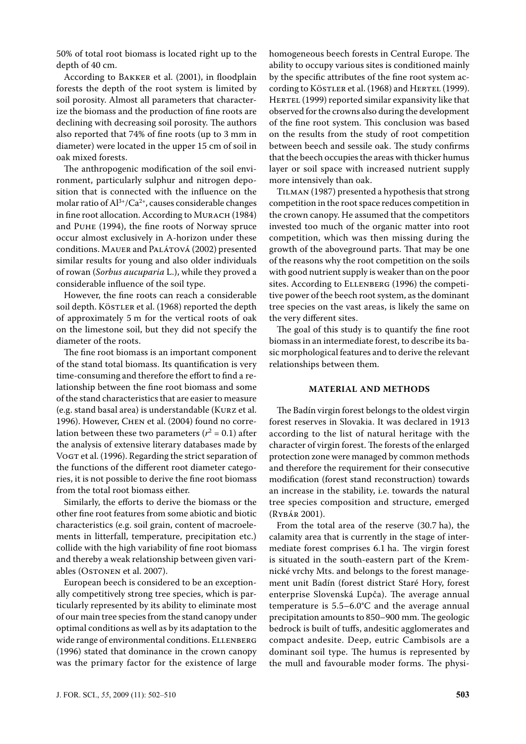50% of total root biomass is located right up to the depth of 40 cm.

According to Bakker et al. (2001), in floodplain forests the depth of the root system is limited by soil porosity. Almost all parameters that characterize the biomass and the production of fine roots are declining with decreasing soil porosity. The authors also reported that 74% of fine roots (up to 3 mm in diameter) were located in the upper 15 cm of soil in oak mixed forests.

The anthropogenic modification of the soil environment, particularly sulphur and nitrogen deposition that is connected with the influence on the molar ratio of  $Al^{3+}/Ca^{2+}$ , causes considerable changes in fine root allocation. According to MURACH (1984) and Puhe (1994), the fine roots of Norway spruce occur almost exclusively in A-horizon under these conditions. Mauer and Palátová (2002) presented similar results for young and also older individuals of rowan (*Sorbus aucuparia* L.), while they proved a considerable influence of the soil type.

However, the fine roots can reach a considerable soil depth. KÖSTLER et al. (1968) reported the depth of approximately 5 m for the vertical roots of oak on the limestone soil, but they did not specify the diameter of the roots.

The fine root biomass is an important component of the stand total biomass. Its quantification is very time-consuming and therefore the effort to find a relationship between the fine root biomass and some of the stand characteristics that are easier to measure (e.g. stand basal area) is understandable (Kurz et al. 1996). However, Chen et al. (2004) found no correlation between these two parameters  $(r^2 = 0.1)$  after the analysis of extensive literary databases made by Vogt et al. (1996). Regarding the strict separation of the functions of the different root diameter categories, it is not possible to derive the fine root biomass from the total root biomass either.

Similarly, the efforts to derive the biomass or the other fine root features from some abiotic and biotic characteristics (e.g. soil grain, content of macroelements in litterfall, temperature, precipitation etc.) collide with the high variability of fine root biomass and thereby a weak relationship between given variables (OsTONEN et al. 2007).

European beech is considered to be an exceptionally competitively strong tree species, which is particularly represented by its ability to eliminate most of our main tree species from the stand canopy under optimal conditions as well as by its adaptation to the wide range of environmental conditions. ELLENBERG (1996) stated that dominance in the crown canopy was the primary factor for the existence of large homogeneous beech forests in Central Europe. The ability to occupy various sites is conditioned mainly by the specific attributes of the fine root system according to KÖSTLER et al. (1968) and HERTEL (1999). HERTEL (1999) reported similar expansivity like that observed for the crowns also during the development of the fine root system. This conclusion was based on the results from the study of root competition between beech and sessile oak. The study confirms that the beech occupies the areas with thicker humus layer or soil space with increased nutrient supply more intensively than oak.

Tilman (1987) presented a hypothesis that strong competition in the root space reduces competition in the crown canopy. He assumed that the competitors invested too much of the organic matter into root competition, which was then missing during the growth of the aboveground parts. That may be one of the reasons why the root competition on the soils with good nutrient supply is weaker than on the poor sites. According to ELLENBERG (1996) the competitive power of the beech root system, as the dominant tree species on the vast areas, is likely the same on the very different sites.

The goal of this study is to quantify the fine root biomass in an intermediate forest, to describe its basic morphological features and to derive the relevant relationships between them.

#### **MATERIAL AND METHODS**

The Badín virgin forest belongs to the oldest virgin forest reserves in Slovakia. It was declared in 1913 according to the list of natural heritage with the character of virgin forest. The forests of the enlarged protection zone were managed by common methods and therefore the requirement for their consecutive modification (forest stand reconstruction) towards an increase in the stability, i.e. towards the natural tree species composition and structure, emerged (Rybár 2001).

From the total area of the reserve (30.7 ha), the calamity area that is currently in the stage of intermediate forest comprises 6.1 ha. The virgin forest is situated in the south-eastern part of the Kremnické vrchy Mts. and belongs to the forest management unit Badín (forest district Staré Hory, forest enterprise Slovenská Ľupča). The average annual temperature is 5.5–6.0°C and the average annual precipitation amounts to 850–900 mm. The geologic bedrock is built of tuffs, andesitic agglomerates and compact andesite. Deep, eutric Cambisols are a dominant soil type. The humus is represented by the mull and favourable moder forms. The physi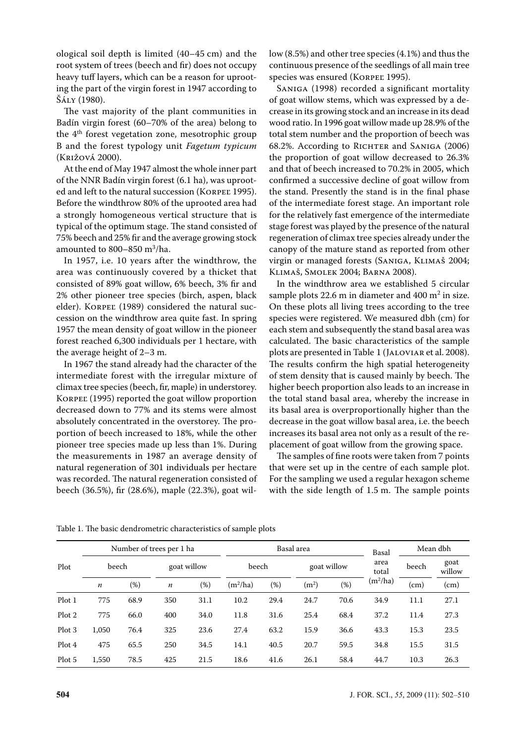ological soil depth is limited (40–45 cm) and the root system of trees (beech and fir) does not occupy heavy tuff layers, which can be a reason for uprooting the part of the virgin forest in 1947 according to Šály (1980).

The vast majority of the plant communities in Badín virgin forest (60–70% of the area) belong to the  $4<sup>th</sup>$  forest vegetation zone, mesotrophic group B and the forest typology unit *Fagetum typicum* (Križová 2000).

At the end of May 1947 almost the whole inner part of the NNR Badín virgin forest (6.1 ha), was uprooted and left to the natural succession (KORPEĽ 1995). Before the windthrow 80% of the uprooted area had a strongly homogeneous vertical structure that is typical of the optimum stage. The stand consisted of 75% beech and 25% fir and the average growing stock amounted to 800–850 m<sup>3</sup> /ha.

In 1957, i.e. 10 years after the windthrow, the area was continuously covered by a thicket that consisted of 89% goat willow, 6% beech, 3% fir and 2% other pioneer tree species (birch, aspen, black elder). KORPEĽ (1989) considered the natural succession on the windthrow area quite fast. In spring 1957 the mean density of goat willow in the pioneer forest reached 6,300 individuals per 1 hectare, with the average height of 2–3 m.

In 1967 the stand already had the character of the intermediate forest with the irregular mixture of climax tree species (beech, fir, maple) in understorey. KORPEĽ (1995) reported the goat willow proportion decreased down to 77% and its stems were almost absolutely concentrated in the overstorey. The proportion of beech increased to 18%, while the other pioneer tree species made up less than 1%. During the measurements in 1987 an average density of natural regeneration of 301 individuals per hectare was recorded. The natural regeneration consisted of beech (36.5%), fir (28.6%), maple (22.3%), goat willow (8.5%) and other tree species (4.1%) and thus the continuous presence of the seedlings of all main tree species was ensured (KORPEĽ 1995).

Saniga (1998) recorded a significant mortality of goat willow stems, which was expressed by a decrease in its growing stock and an increase in its dead wood ratio. In 1996 goat willow made up 28.9% of the total stem number and the proportion of beech was 68.2%. According to RICHTER and SANIGA (2006) the proportion of goat willow decreased to 26.3% and that of beech increased to 70.2% in 2005, which confirmed a successive decline of goat willow from the stand. Presently the stand is in the final phase of the intermediate forest stage. An important role for the relatively fast emergence of the intermediate stage forest was played by the presence of the natural regeneration of climax tree species already under the canopy of the mature stand as reported from other virgin or managed forests (Saniga, Klimaš 2004; Klimaš, Smolek 2004; Barna 2008).

In the windthrow area we established 5 circular sample plots 22.6 m in diameter and  $400 \text{ m}^2$  in size. On these plots all living trees according to the tree species were registered. We measured dbh (cm) for each stem and subsequently the stand basal area was calculated. The basic characteristics of the sample plots are presented in Table 1 (Jaloviar et al. 2008). The results confirm the high spatial heterogeneity of stem density that is caused mainly by beech. The higher beech proportion also leads to an increase in the total stand basal area, whereby the increase in its basal area is overproportionally higher than the decrease in the goat willow basal area, i.e. the beech increases its basal area not only as a result of the replacement of goat willow from the growing space.

The samples of fine roots were taken from 7 points that were set up in the centre of each sample plot. For the sampling we used a regular hexagon scheme with the side length of 1.5 m. The sample points

|        | Number of trees per 1 ha |      |                  |             | Basal area |        |                   |             | Basal      | Mean dbh |                |
|--------|--------------------------|------|------------------|-------------|------------|--------|-------------------|-------------|------------|----------|----------------|
| Plot   | beech                    |      |                  | goat willow |            | beech  |                   | goat willow |            | beech    | goat<br>willow |
|        | $\boldsymbol{n}$         | (%)  | $\boldsymbol{n}$ | (%)         | $(m^2/ha)$ | $(\%)$ | (m <sup>2</sup> ) | $(\%)$      | $(m^2/ha)$ | (cm)     | (cm)           |
| Plot 1 | 775                      | 68.9 | 350              | 31.1        | 10.2       | 29.4   | 24.7              | 70.6        | 34.9       | 11.1     | 27.1           |
| Plot 2 | 775                      | 66.0 | 400              | 34.0        | 11.8       | 31.6   | 25.4              | 68.4        | 37.2       | 11.4     | 27.3           |
| Plot 3 | 1,050                    | 76.4 | 325              | 23.6        | 27.4       | 63.2   | 15.9              | 36.6        | 43.3       | 15.3     | 23.5           |
| Plot 4 | 475                      | 65.5 | 250              | 34.5        | 14.1       | 40.5   | 20.7              | 59.5        | 34.8       | 15.5     | 31.5           |
| Plot 5 | 1,550                    | 78.5 | 425              | 21.5        | 18.6       | 41.6   | 26.1              | 58.4        | 44.7       | 10.3     | 26.3           |

Table 1. The basic dendrometric characteristics of sample plots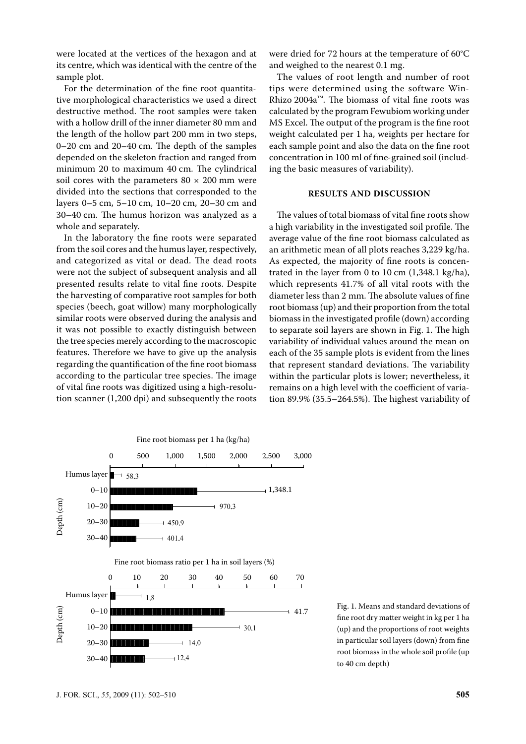were located at the vertices of the hexagon and at its centre, which was identical with the centre of the sample plot.

For the determination of the fine root quantitative morphological characteristics we used a direct destructive method. The root samples were taken with a hollow drill of the inner diameter 80 mm and the length of the hollow part 200 mm in two steps, 0–20 cm and 20–40 cm. The depth of the samples depended on the skeleton fraction and ranged from minimum 20 to maximum 40 cm. The cylindrical soil cores with the parameters  $80 \times 200$  mm were divided into the sections that corresponded to the layers 0–5 cm, 5–10 cm, 10–20 cm, 20–30 cm and 30–40 cm. The humus horizon was analyzed as a whole and separately.

In the laboratory the fine roots were separated from the soil cores and the humus layer, respectively, and categorized as vital or dead. The dead roots were not the subject of subsequent analysis and all presented results relate to vital fine roots. Despite the harvesting of comparative root samples for both species (beech, goat willow) many morphologically similar roots were observed during the analysis and it was not possible to exactly distinguish between the tree species merely according to the macroscopic features. Therefore we have to give up the analysis regarding the quantification of the fine root biomass according to the particular tree species. The image of vital fine roots was digitized using a high-resolution scanner (1,200 dpi) and subsequently the roots were dried for 72 hours at the temperature of 60°C and weighed to the nearest 0.1 mg.

The values of root length and number of root tips were determined using the software Win-Rhizo 2004a™. The biomass of vital fine roots was calculated by the program Fewubiom working under MS Excel. The output of the program is the fine root weight calculated per 1 ha, weights per hectare for each sample point and also the data on the fine root concentration in 100 ml of fine-grained soil (including the basic measures of variability).

## **RESULTS AND DISCUSSION**

The values of total biomass of vital fine roots show a high variability in the investigated soil profile. The average value of the fine root biomass calculated as an arithmetic mean of all plots reaches 3,229 kg/ha. As expected, the majority of fine roots is concentrated in the layer from 0 to 10 cm (1,348.1 kg/ha), which represents 41.7% of all vital roots with the diameter less than 2 mm. The absolute values of fine root biomass (up) and their proportion from the total biomass in the investigated profile (down) according to separate soil layers are shown in Fig. 1. The high variability of individual values around the mean on each of the 35 sample plots is evident from the lines that represent standard deviations. The variability within the particular plots is lower; nevertheless, it remains on a high level with the coefficient of variation 89.9% (35.5–264.5%). The highest variability of



Fig. 1. Means and standard deviations of fine root dry matter weight in kg per 1 ha (up) and the proportions of root weights in particular soil layers (down) from fine root biomass in the whole soil profile (up to 40 cm depth)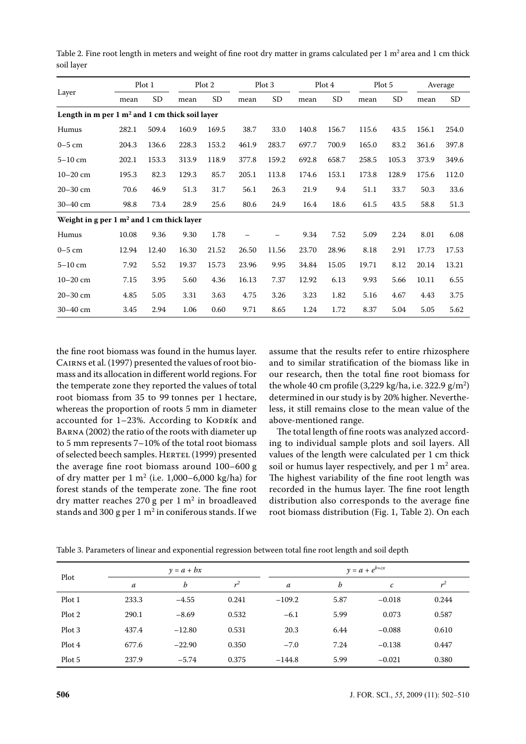|                                                                     |       | Plot 1    | Plot 2 |           | Plot 3 |           | Plot 4 |           | Plot 5 |           | Average |                |
|---------------------------------------------------------------------|-------|-----------|--------|-----------|--------|-----------|--------|-----------|--------|-----------|---------|----------------|
| Layer                                                               | mean  | <b>SD</b> | mean   | <b>SD</b> | mean   | <b>SD</b> | mean   | <b>SD</b> | mean   | <b>SD</b> | mean    | SD <sub></sub> |
| Length in m per $1 \text{ m}^2$ and $1 \text{ cm}$ thick soil layer |       |           |        |           |        |           |        |           |        |           |         |                |
| Humus                                                               | 282.1 | 509.4     | 160.9  | 169.5     | 38.7   | 33.0      | 140.8  | 156.7     | 115.6  | 43.5      | 156.1   | 254.0          |
| $0-5$ cm                                                            | 204.3 | 136.6     | 228.3  | 153.2     | 461.9  | 283.7     | 697.7  | 700.9     | 165.0  | 83.2      | 361.6   | 397.8          |
| $5-10$ cm                                                           | 202.1 | 153.3     | 313.9  | 118.9     | 377.8  | 159.2     | 692.8  | 658.7     | 258.5  | 105.3     | 373.9   | 349.6          |
| $10 - 20$ cm                                                        | 195.3 | 82.3      | 129.3  | 85.7      | 205.1  | 113.8     | 174.6  | 153.1     | 173.8  | 128.9     | 175.6   | 112.0          |
| $20 - 30$ cm                                                        | 70.6  | 46.9      | 51.3   | 31.7      | 56.1   | 26.3      | 21.9   | 9.4       | 51.1   | 33.7      | 50.3    | 33.6           |
| 30-40 cm                                                            | 98.8  | 73.4      | 28.9   | 25.6      | 80.6   | 24.9      | 16.4   | 18.6      | 61.5   | 43.5      | 58.8    | 51.3           |
| Weight in g per $1 \text{ m}^2$ and $1 \text{ cm}$ thick layer      |       |           |        |           |        |           |        |           |        |           |         |                |
| Humus                                                               | 10.08 | 9.36      | 9.30   | 1.78      |        | —         | 9.34   | 7.52      | 5.09   | 2.24      | 8.01    | 6.08           |
| $0-5$ cm                                                            | 12.94 | 12.40     | 16.30  | 21.52     | 26.50  | 11.56     | 23.70  | 28.96     | 8.18   | 2.91      | 17.73   | 17.53          |
| $5-10$ cm                                                           | 7.92  | 5.52      | 19.37  | 15.73     | 23.96  | 9.95      | 34.84  | 15.05     | 19.71  | 8.12      | 20.14   | 13.21          |
| $10 - 20$ cm                                                        | 7.15  | 3.95      | 5.60   | 4.36      | 16.13  | 7.37      | 12.92  | 6.13      | 9.93   | 5.66      | 10.11   | 6.55           |
| $20 - 30$ cm                                                        | 4.85  | 5.05      | 3.31   | 3.63      | 4.75   | 3.26      | 3.23   | 1.82      | 5.16   | 4.67      | 4.43    | 3.75           |
| 30-40 cm                                                            | 3.45  | 2.94      | 1.06   | 0.60      | 9.71   | 8.65      | 1.24   | 1.72      | 8.37   | 5.04      | 5.05    | 5.62           |

Table 2. Fine root length in meters and weight of fine root dry matter in grams calculated per  $1 \text{ m}^2$  area and  $1 \text{ cm}$  thick soil layer

the fine root biomass was found in the humus layer. Cairns et al. (1997) presented the values of root biomass and its allocation in different world regions. For the temperate zone they reported the values of total root biomass from 35 to 99 tonnes per 1 hectare, whereas the proportion of roots 5 mm in diameter accounted for  $1-23%$ . According to KODRÍK and Barna (2002) the ratio of the roots with diameter up to 5 mm represents 7–10% of the total root biomass of selected beech samples. HERTEL (1999) presented the average fine root biomass around 100–600 g of dry matter per  $1 \text{ m}^2$  (i.e. 1,000–6,000 kg/ha) for forest stands of the temperate zone. The fine root dry matter reaches  $270 g$  per  $1 m<sup>2</sup>$  in broadleaved stands and 300 g per 1  $m^2$  in coniferous stands. If we assume that the results refer to entire rhizosphere and to similar stratification of the biomass like in our research, then the total fine root biomass for the whole 40 cm profile  $(3,229 \text{ kg/ha}, \text{i.e. } 322.9 \text{ g/m}^2)$ determined in our study is by 20% higher. Nevertheless, it still remains close to the mean value of the above-mentioned range.

The total length of fine roots was analyzed according to individual sample plots and soil layers. All values of the length were calculated per 1 cm thick soil or humus layer respectively, and per  $1 \text{ m}^2$  area. The highest variability of the fine root length was recorded in the humus layer. The fine root length distribution also corresponds to the average fine root biomass distribution (Fig. 1, Table 2). On each

| Plot   |       | $y = a + bx$ |       |                  | $y = a + e^{b+cx}$ |          |       |  |  |
|--------|-------|--------------|-------|------------------|--------------------|----------|-------|--|--|
|        | a     | b            | $r^2$ | $\boldsymbol{a}$ | b                  | с        | $r^2$ |  |  |
| Plot 1 | 233.3 | $-4.55$      | 0.241 | $-109.2$         | 5.87               | $-0.018$ | 0.244 |  |  |
| Plot 2 | 290.1 | $-8.69$      | 0.532 | $-6.1$           | 5.99               | 0.073    | 0.587 |  |  |
| Plot 3 | 437.4 | $-12.80$     | 0.531 | 20.3             | 6.44               | $-0.088$ | 0.610 |  |  |
| Plot 4 | 677.6 | $-22.90$     | 0.350 | $-7.0$           | 7.24               | $-0.138$ | 0.447 |  |  |
| Plot 5 | 237.9 | $-5.74$      | 0.375 | $-144.8$         | 5.99               | $-0.021$ | 0.380 |  |  |

Table 3. Parameters of linear and exponential regression between total fine root length and soil depth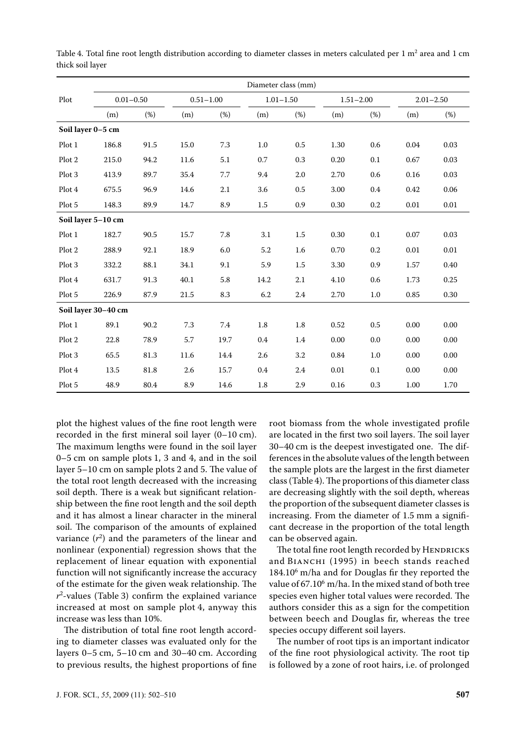|                   | Diameter class (mm) |      |               |      |      |               |      |               |      |               |  |  |  |
|-------------------|---------------------|------|---------------|------|------|---------------|------|---------------|------|---------------|--|--|--|
| Plot              | $0.01 - 0.50$       |      | $0.51 - 1.00$ |      |      | $1.01 - 1.50$ |      | $1.51 - 2.00$ |      | $2.01 - 2.50$ |  |  |  |
|                   | (m)                 | (%)  | (m)           | (%)  | (m)  | (%)           | (m)  | (%)           | (m)  | (%)           |  |  |  |
| Soil layer 0-5 cm |                     |      |               |      |      |               |      |               |      |               |  |  |  |
| Plot 1            | 186.8               | 91.5 | 15.0          | 7.3  | 1.0  | 0.5           | 1.30 | 0.6           | 0.04 | 0.03          |  |  |  |
| Plot 2            | 215.0               | 94.2 | 11.6          | 5.1  | 0.7  | 0.3           | 0.20 | 0.1           | 0.67 | 0.03          |  |  |  |
| Plot 3            | 413.9               | 89.7 | 35.4          | 7.7  | 9.4  | 2.0           | 2.70 | 0.6           | 0.16 | 0.03          |  |  |  |
| Plot 4            | 675.5               | 96.9 | 14.6          | 2.1  | 3.6  | 0.5           | 3.00 | 0.4           | 0.42 | 0.06          |  |  |  |
| Plot 5            | 148.3               | 89.9 | 14.7          | 8.9  | 1.5  | 0.9           | 0.30 | 0.2           | 0.01 | $0.01\,$      |  |  |  |
|                   | Soil layer 5-10 cm  |      |               |      |      |               |      |               |      |               |  |  |  |
| Plot 1            | 182.7               | 90.5 | 15.7          | 7.8  | 3.1  | 1.5           | 0.30 | 0.1           | 0.07 | 0.03          |  |  |  |
| Plot 2            | 288.9               | 92.1 | 18.9          | 6.0  | 5.2  | 1.6           | 0.70 | 0.2           | 0.01 | 0.01          |  |  |  |
| Plot 3            | 332.2               | 88.1 | 34.1          | 9.1  | 5.9  | 1.5           | 3.30 | 0.9           | 1.57 | 0.40          |  |  |  |
| Plot 4            | 631.7               | 91.3 | 40.1          | 5.8  | 14.2 | 2.1           | 4.10 | 0.6           | 1.73 | 0.25          |  |  |  |
| Plot 5            | 226.9               | 87.9 | 21.5          | 8.3  | 6.2  | 2.4           | 2.70 | 1.0           | 0.85 | $0.30\,$      |  |  |  |
|                   | Soil layer 30-40 cm |      |               |      |      |               |      |               |      |               |  |  |  |
| Plot 1            | 89.1                | 90.2 | 7.3           | 7.4  | 1.8  | 1.8           | 0.52 | 0.5           | 0.00 | 0.00          |  |  |  |
| Plot 2            | 22.8                | 78.9 | 5.7           | 19.7 | 0.4  | 1.4           | 0.00 | 0.0           | 0.00 | 0.00          |  |  |  |
| Plot 3            | 65.5                | 81.3 | 11.6          | 14.4 | 2.6  | 3.2           | 0.84 | 1.0           | 0.00 | 0.00          |  |  |  |
| Plot 4            | 13.5                | 81.8 | 2.6           | 15.7 | 0.4  | 2.4           | 0.01 | 0.1           | 0.00 | 0.00          |  |  |  |
| Plot 5            | 48.9                | 80.4 | 8.9           | 14.6 | 1.8  | 2.9           | 0.16 | 0.3           | 1.00 | 1.70          |  |  |  |

Table 4. Total fine root length distribution according to diameter classes in meters calculated per  $1 \text{ m}^2$  area and  $1 \text{ cm}$ thick soil layer

plot the highest values of the fine root length were recorded in the first mineral soil layer (0–10 cm). The maximum lengths were found in the soil layer 0–5 cm on sample plots 1, 3 and 4, and in the soil layer 5–10 cm on sample plots 2 and 5. The value of the total root length decreased with the increasing soil depth. There is a weak but significant relationship between the fine root length and the soil depth and it has almost a linear character in the mineral soil. The comparison of the amounts of explained variance  $(r^2)$  and the parameters of the linear and nonlinear (exponential) regression shows that the replacement of linear equation with exponential function will not significantly increase the accuracy of the estimate for the given weak relationship. The *r*2 -values (Table 3) confirm the explained variance increased at most on sample plot 4, anyway this increase was less than 10%.

The distribution of total fine root length according to diameter classes was evaluated only for the layers 0–5 cm, 5–10 cm and 30–40 cm. According to previous results, the highest proportions of fine

root biomass from the whole investigated profile are located in the first two soil layers. The soil layer 30–40 cm is the deepest investigated one. The differences in the absolute values of the length between the sample plots are the largest in the first diameter class (Table 4). The proportions of this diameter class are decreasing slightly with the soil depth, whereas the proportion of the subsequent diameter classes is increasing. From the diameter of 1.5 mm a significant decrease in the proportion of the total length can be observed again.

The total fine root length recorded by HENDRICKS and BIANCHI (1995) in beech stands reached 184.10<sup>6</sup> m/ha and for Douglas fir they reported the value of 67.10<sup>6</sup> m/ha. In the mixed stand of both tree species even higher total values were recorded. The authors consider this as a sign for the competition between beech and Douglas fir, whereas the tree species occupy different soil layers.

The number of root tips is an important indicator of the fine root physiological activity. The root tip is followed by a zone of root hairs, i.e. of prolonged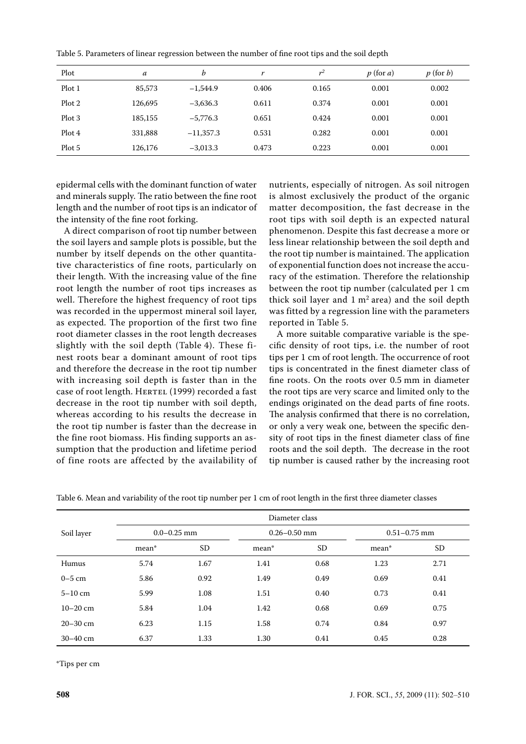| Plot   | a       | b           |       | $r^2$ | $p(\text{for } a)$ | $p$ (for b) |
|--------|---------|-------------|-------|-------|--------------------|-------------|
| Plot 1 | 85,573  | $-1,544.9$  | 0.406 | 0.165 | 0.001              | 0.002       |
| Plot 2 | 126,695 | $-3,636.3$  | 0.611 | 0.374 | 0.001              | 0.001       |
| Plot 3 | 185,155 | $-5,776.3$  | 0.651 | 0.424 | 0.001              | 0.001       |
| Plot 4 | 331,888 | $-11,357.3$ | 0.531 | 0.282 | 0.001              | 0.001       |
| Plot 5 | 126,176 | $-3,013.3$  | 0.473 | 0.223 | 0.001              | 0.001       |

Table 5. Parameters of linear regression between the number of fine root tips and the soil depth

epidermal cells with the dominant function of water and minerals supply. The ratio between the fine root length and the number of root tips is an indicator of the intensity of the fine root forking.

A direct comparison of root tip number between the soil layers and sample plots is possible, but the number by itself depends on the other quantitative characteristics of fine roots, particularly on their length. With the increasing value of the fine root length the number of root tips increases as well. Therefore the highest frequency of root tips was recorded in the uppermost mineral soil layer, as expected. The proportion of the first two fine root diameter classes in the root length decreases slightly with the soil depth (Table 4). These finest roots bear a dominant amount of root tips and therefore the decrease in the root tip number with increasing soil depth is faster than in the case of root length. HERTEL (1999) recorded a fast decrease in the root tip number with soil depth, whereas according to his results the decrease in the root tip number is faster than the decrease in the fine root biomass. His finding supports an assumption that the production and lifetime period of fine roots are affected by the availability of

nutrients, especially of nitrogen. As soil nitrogen is almost exclusively the product of the organic matter decomposition, the fast decrease in the root tips with soil depth is an expected natural phenomenon. Despite this fast decrease a more or less linear relationship between the soil depth and the root tip number is maintained. The application of exponential function does not increase the accuracy of the estimation. Therefore the relationship between the root tip number (calculated per 1 cm thick soil layer and  $1 \text{ m}^2$  area) and the soil depth was fitted by a regression line with the parameters reported in Table 5.

A more suitable comparative variable is the specific density of root tips, i.e. the number of root tips per 1 cm of root length. The occurrence of root tips is concentrated in the finest diameter class of fine roots. On the roots over 0.5 mm in diameter the root tips are very scarce and limited only to the endings originated on the dead parts of fine roots. The analysis confirmed that there is no correlation, or only a very weak one, between the specific density of root tips in the finest diameter class of fine roots and the soil depth. The decrease in the root tip number is caused rather by the increasing root

|              | Diameter class  |           |                  |      |                  |      |  |  |  |  |
|--------------|-----------------|-----------|------------------|------|------------------|------|--|--|--|--|
| Soil layer   | $0.0 - 0.25$ mm |           | $0.26 - 0.50$ mm |      | $0.51 - 0.75$ mm |      |  |  |  |  |
|              | mean*           | <b>SD</b> | mean*            | SD.  | mean*            | SD.  |  |  |  |  |
| Humus        | 5.74            | 1.67      | 1.41             | 0.68 | 1.23             | 2.71 |  |  |  |  |
| $0-5$ cm     | 5.86            | 0.92      | 1.49             | 0.49 | 0.69             | 0.41 |  |  |  |  |
| $5-10$ cm    | 5.99            | 1.08      | 1.51             | 0.40 | 0.73             | 0.41 |  |  |  |  |
| $10 - 20$ cm | 5.84            | 1.04      | 1.42             | 0.68 | 0.69             | 0.75 |  |  |  |  |
| $20 - 30$ cm | 6.23            | 1.15      | 1.58             | 0.74 | 0.84             | 0.97 |  |  |  |  |
| $30 - 40$ cm | 6.37            | 1.33      | 1.30             | 0.41 | 0.45             | 0.28 |  |  |  |  |

\*Tips per cm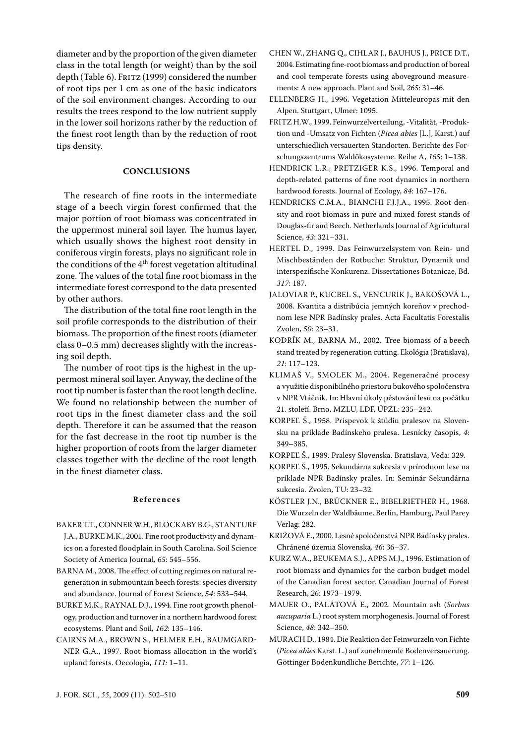diameter and by the proportion of the given diameter class in the total length (or weight) than by the soil depth (Table 6). FRITZ (1999) considered the number of root tips per 1 cm as one of the basic indicators of the soil environment changes. According to our results the trees respond to the low nutrient supply in the lower soil horizons rather by the reduction of the finest root length than by the reduction of root tips density.

## **CONCLUSIONS**

The research of fine roots in the intermediate stage of a beech virgin forest confirmed that the major portion of root biomass was concentrated in the uppermost mineral soil layer. The humus layer, which usually shows the highest root density in coniferous virgin forests, plays no significant role in the conditions of the 4th forest vegetation altitudinal zone. The values of the total fine root biomass in the intermediate forest correspond to the data presented by other authors.

The distribution of the total fine root length in the soil profile corresponds to the distribution of their biomass. The proportion of the finest roots (diameter class 0–0.5 mm) decreases slightly with the increasing soil depth.

The number of root tips is the highest in the uppermost mineral soil layer. Anyway, the decline of the root tip number is faster than the root length decline. We found no relationship between the number of root tips in the finest diameter class and the soil depth. Therefore it can be assumed that the reason for the fast decrease in the root tip number is the higher proportion of roots from the larger diameter classes together with the decline of the root length in the finest diameter class.

#### **R e f e r e n c e s**

- Baker T.T., Conner W.H., BLockaby B.G., Stanturf J.A., BURKE M.K., 2001. Fine root productivity and dynamics on a forested floodplain in South Carolina. Soil Science Society of America Journal*, 65*: 545–556.
- BARNA M., 2008. The effect of cutting regimes on natural regeneration in submountain beech forests: species diversity and abundance. Journal of Forest Science, *54*: 533–544.
- Burke M.K., Raynal D.J., 1994. Fine root growth phenology, production and turnover in a northern hardwood forest ecosystems. Plant and Soil*, 162*: 135–146.
- Cairns M.A., Brown S., Helmer E.H., Baumgard-NER G.A., 1997. Root biomass allocation in the world's upland forests. Oecologia, *111:* 1–11.
- Chen W., Zhang Q., Cihlar J., Bauhus J., Price D.T., 2004. Estimating fine-root biomass and production of boreal and cool temperate forests using aboveground measurements: A new approach. Plant and Soil, *265*: 31–46.
- ELLENBERG H., 1996. Vegetation Mitteleuropas mit den Alpen. Stuttgart, Ulmer: 1095.
- Fritz H.W., 1999. Feinwurzelverteilung, -Vitalität, -Produktion und -Umsatz von Fichten (*Picea abies* [L.], Karst.) auf unterschiedlich versauerten Standorten. Berichte des Forschungszentrums Waldökosysteme. Reihe A, *165*: 1–138.
- HENDRICK L.R., PRETZIGER K.S., 1996. Temporal and depth-related patterns of fine root dynamics in northern hardwood forests. Journal of Ecology, *84*: 167–176.
- HENDRICKS C.M.A., BIANCHI F.J.J.A., 1995. Root density and root biomass in pure and mixed forest stands of Douglas-fir and Beech. Netherlands Journal of Agricultural Science, *43*: 321–331.
- HERTEL D., 1999. Das Feinwurzelsystem von Rein- und Mischbeständen der Rotbuche: Struktur, Dynamik und interspezifische Konkurenz. Dissertationes Botanicae, Bd. *317*: 187.
- Jaloviar P., Kucbel S., Vencurik J., Bakošová L., 2008. Kvantita a distribúcia jemných koreňov v prechodnom lese NPR Badínsky prales. Acta facultatis forestalis Zvolen, *50*: 23–31.
- KODRÍK M., BARNA M., 2002. Tree biomass of a beech stand treated by regeneration cutting. Ekológia (Bratislava), *21*: 117–123.
- Klimaš V., Smolek M., 2004. Regeneračné procesy a využitie disponibilného priestoru bukového spoločenstva v NPR Vtáčnik. In: Hlavní úkoly pěstování lesů na počátku 21. století. Brno, MZLU, LDF, ÚPZL: 235–242.
- KORPEĽ Š., 1958. Príspevok k štúdiu pralesov na Slovensku na príklade Badínskeho pralesa. Lesnícky časopis, *4*: 349–385.
- Korpeľ Š., 1989. Pralesy Slovenska. Bratislava, Veda: 329.
- Korpeľ Š., 1995. Sekundárna sukcesia v prírodnom lese na príklade NPR Badínsky prales. In: Seminár Sekundárna sukcesia. Zvolen, TU: 23–32.
- Köstler J.N., Brückner E., Bibelriether H., 1968. Die Wurzeln der Waldbäume. Berlin, Hamburg, Paul Parey Verlag: 282.
- Križová E., 2000. Lesné spoločenstvá NPR Badínsky prales. Chránené územia Slovenska*, 46*: 36–37.
- Kurz W.A., Beukema S.J., Apps M.J., 1996. Estimation of root biomass and dynamics for the carbon budget model of the Canadian forest sector. Canadian Journal of Forest Research, *26*: 1973–1979.
- Mauer O., Palátová E., 2002. Mountain ash (*Sorbus aucuparia* L.) root system morphogenesis. Journal of Forest Science, *48*: 342–350.
- Murach D., 1984. Die Reaktion der Feinwurzeln von Fichte (*Picea abies* Karst. L.) auf zunehmende Bodenversauerung. Göttinger Bodenkundliche Berichte, *77*: 1–126.